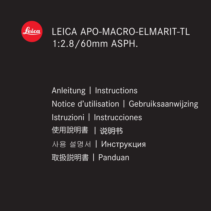

# LEICA APO-MACRO-ELMARIT-TL 1:2.8/60mm ASPH.

Anleitung | Instructions Notice d'utilisation | Gebruiksaanwijzing Istruzioni | Instrucciones 使用說明書 | 说明书 사용 설명서 | Инструкция 取扱説明書 | Panduan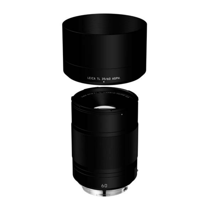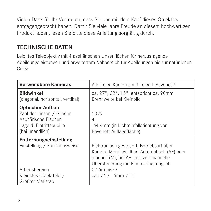Vielen Dank für Ihr Vertrauen, dass Sie uns mit dem Kauf dieses Objektivs entgegengebracht haben. Damit Sie viele Jahre Freude an diesem hochwertigen Produkt haben, lesen Sie bitte diese Anleitung sorgfältig durch.

## **TECHNISCHE DATEN**

Leichtes Teleobjektiv mit 4 asphärischen Linsenflächen für herausragende Abbildungsleistungen und erweitertem Nahbereich für Abbildungen bis zur natürlichen Größe

| Verwendbare Kameras                                                                                                        | Alle Leica Kameras mit Leica L-Bayonett <sup>1</sup>                                                                                                                                                                       |
|----------------------------------------------------------------------------------------------------------------------------|----------------------------------------------------------------------------------------------------------------------------------------------------------------------------------------------------------------------------|
| <b>Bildwinkel</b><br>(diagonal, horizontal, vertikal)                                                                      | ca. 27°, 22°, 15°, entspricht ca. 90mm<br>Brennweite bei Kleinbild                                                                                                                                                         |
| <b>Optischer Aufbau</b><br>Zahl der Linsen / Glieder<br>Asphärische Flächen<br>Lage d. Eintrittspupille<br>(bei unendlich) | 10/9<br>4<br>-64.4mm (in Lichteinfallsrichtung vor<br>Bayonett-Auflagefläche)                                                                                                                                              |
| Entfernungseinstellung<br>Einstellung / Funktionsweise<br>Arbeitsbereich<br>Kleinstes Objektfeld /<br>Größter Maßstab      | Elektronisch gesteuert, Betriebsart über<br>Kamera-Menü wählbar: Automatisch (AF) oder<br>manuell (M), bei AF jederzeit manuelle<br>Übersteuerung mit Einstellring möglich<br>$0.16m$ bis $\infty$<br>ca.: 24 x 16mm / 1:1 |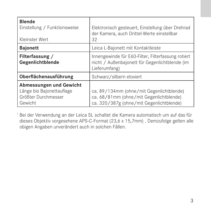| <b>Blende</b><br>Einstellung / Funktionsweise<br>Kleinster Wert                        | Elektronisch gesteuert, Einstellung über Drehrad<br>der Kamera, auch Drittel-Werte einstellbar<br>32                            |
|----------------------------------------------------------------------------------------|---------------------------------------------------------------------------------------------------------------------------------|
| <b>Bajonett</b>                                                                        | Leica L-Bajonett mit Kontaktleiste                                                                                              |
| Filterfassung /<br>Gegenlichtblende                                                    | Innengewinde für E60-Filter, Filterfassung rotiert<br>nicht / Außenbajonett für Gegenlichtblende (im<br>Lieferumfang)           |
| Oberflächenausführung                                                                  | Schwarz/silbern eloxiert                                                                                                        |
| Abmessungen und Gewicht<br>Länge bis Bajonettauflage<br>Größter Durchmesser<br>Gewicht | ca. 89/134mm (ohne/mit Gegenlichtblende)<br>ca. 68/81mm (ohne/mit Gegenlichtblende)<br>ca. 320/387g (ohne/mit Gegenlichtblende) |

<sup>1</sup> Bei der Verwendung an der Leica SL schaltet die Kamera automatisch um auf das für dieses Objektiv vorgesehene APS-C-Format (23,6 x 15,7mm) . Demzufolge gelten alle obigen Angaben unverändert auch in solchen Fällen.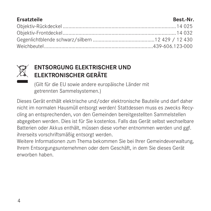| Ersatzteile | Best.-Nr. |
|-------------|-----------|
|             |           |
|             |           |
|             |           |
|             |           |

## **ENTSORGUNG ELEKTRISCHER UND ELEKTRONISCHER GERÄTE**

(Gilt für die EU sowie andere europäische Länder mit getrennten Sammelsystemen.)

Dieses Gerät enthält elektrische und/oder elektronische Bauteile und darf daher nicht im normalen Hausmüll entsorgt werden! Stattdessen muss es zwecks Recycling an entsprechenden, von den Gemeinden bereitgestellten Sammelstellen abgegeben werden. Dies ist für Sie kostenlos. Falls das Gerät selbst wechselbare Batterien oder Akkus enthält, müssen diese vorher entnommen werden und ggf. ihrerseits vorschriftsmäßig entsorgt werden.

Weitere Informationen zum Thema bekommen Sie bei Ihrer Gemeindeverwaltung, Ihrem Entsorgungsunternehmen oder dem Geschäft, in dem Sie dieses Gerät erworben haben.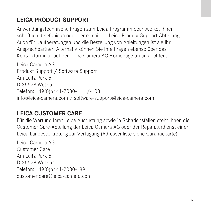## **LEICA PRODUCT SUPPORT**

Anwendungstechnische Fragen zum Leica Programm beantwortet Ihnen schriftlich, telefonisch oder per e-mail die Leica Product Support-Abteilung. Auch für Kaufberatungen und die Bestellung von Anleitungen ist sie Ihr Ansprechpartner. Alternativ können Sie Ihre Fragen ebenso über das Kontaktformular auf der Leica Camera AG Homepage an uns richten.

Leica Camera AG Produkt Support / Software Support Am Leitz-Park 5 D-35578 Wetzlar Telefon: +49(0)6441-2080-111 /-108 info@leica-camera.com / software-support@leica-camera.com

#### **LEICA CUSTOMER CARE**

Für die Wartung Ihrer Leica Ausrüstung sowie in Schadensfällen steht Ihnen die Customer Care-Abteilung der Leica Camera AG oder der Reparaturdienst einer Leica Landesvertretung zur Verfügung (Adressenliste siehe Garantiekarte).

Leica Camera AG Customer Care Am Leitz-Park 5 D-35578 Wetzlar Telefon: +49(0)6441-2080-189 customer.care@leica-camera.com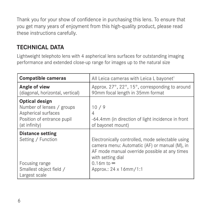Thank you for your show of confidence in purchasing this lens. To ensure that you get many years of enjoyment from this high-quality product, please read these instructions carefully.

### **TECHNICAL DATA**

Lightweight telephoto lens with 4 aspherical lens surfaces for outstanding imaging performance and extended close-up range for images up to the natural size

| <b>Compatible cameras</b>                                                                                         | All Leica cameras with Leica L bayonet <sup>1</sup>                                                                                                                                                                      |
|-------------------------------------------------------------------------------------------------------------------|--------------------------------------------------------------------------------------------------------------------------------------------------------------------------------------------------------------------------|
| Angle of view<br>(diagonal, horizontal, vertical)                                                                 | Approx. 27°, 22°, 15°, corresponding to around<br>90mm focal length in 35mm format                                                                                                                                       |
| Optical design<br>Number of lenses / groups<br>Aspherical surfaces<br>Position of entrance pupil<br>(at infinity) | 10/9<br>4<br>-64.4mm (in direction of light incidence in front<br>of bayonet mount)                                                                                                                                      |
| <b>Distance setting</b><br>Setting / Function<br>Focusing range<br>Smallest object field /<br>Largest scale       | Electronically controlled, mode selectable using<br>camera menu: Automatic (AF) or manual (M), in<br>AF mode manual override possible at any times<br>with setting dial<br>$0.16m$ to $\infty$<br>Approx.: 24 x 16mm/1:1 |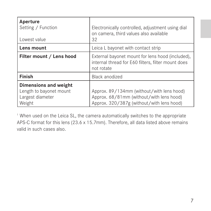| Aperture<br>Setting / Function<br>I owest value                                | Electronically controlled, adjustment using dial<br>on camera, third values also available<br>32                                   |
|--------------------------------------------------------------------------------|------------------------------------------------------------------------------------------------------------------------------------|
| Lens mount                                                                     | Leica L bayonet with contact strip                                                                                                 |
| Filter mount / Lens hood                                                       | External bayonet mount for lens hood (included),<br>internal thread for E60 filters, filter mount does<br>not rotate               |
| Finish                                                                         | Black anodized                                                                                                                     |
| Dimensions and weight<br>Length to bayonet mount<br>Largest diameter<br>Weight | Approx. 89/134mm (without/with lens hood)<br>Approx. 68/81mm (without/with lens hood)<br>Approx. 320/387g (without/with lens hood) |

<sup>1</sup> When used on the Leica SL, the camera automatically switches to the appropriate APS-C format for this lens (23.6 x 15.7mm). Therefore, all data listed above remains valid in such cases also.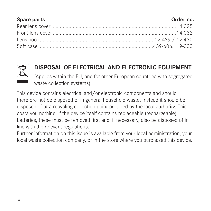| Spare parts | Order no. |
|-------------|-----------|
|             |           |
|             |           |
|             |           |
|             |           |



## **DISPOSAL OF ELECTRICAL AND ELECTRONIC EQUIPMENT**

(Applies within the EU, and for other European countries with segregated waste collection systems)

This device contains electrical and/or electronic components and should therefore not be disposed of in general household waste. Instead it should be disposed of at a recycling collection point provided by the local authority. This costs you nothing. If the device itself contains replaceable (rechargeable) batteries, these must be removed first and, if necessary, also be disposed of in line with the relevant regulations.

Further information on this issue is available from your local administration, your local waste collection company, or in the store where you purchased this device.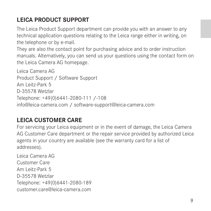## **LEICA PRODUCT SUPPORT**

The Leica Product Support department can provide you with an answer to any technical application questions relating to the Leica range either in writing, on the telephone or by e-mail.

They are also the contact point for purchasing advice and to order instruction manuals. Alternatively, you can send us your questions using the contact form on the Leica Camera AG homepage.

Leica Camera AG Product Support / Software Support Am Leitz-Park 5 D-35578 Wetzlar Telephone: +49(0)6441-2080-111 /-108 info@leica-camera.com / software-support@leica-camera.com

### **LEICA CUSTOMER CARE**

For servicing your Leica equipment or in the event of damage, the Leica Camera AG Customer Care department or the repair service provided by authorized Leica agents in your country are available (see the warranty card for a list of addresses).

Leica Camera AG Customer Care Am Leitz-Park 5 D-35578 Wetzlar Telephone: +49(0)6441-2080-189 customer.care@leica-camera.com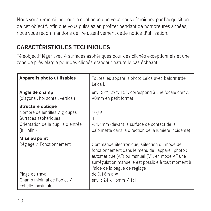Nous vous remercions pour la confiance que vous nous témoignez par l'acquisition de cet objectif. Afin que vous puissiez en profiter pendant de nombreuses années, nous vous recommandons de lire attentivement cette notice d'utilisation.

## **CARACTÉRISTIQUES TECHNIQUES**

Téléobjectif léger avec 4 surfaces asphériques pour des clichés exceptionnels et une zone de près élargie pour des clichés grandeur nature le cas échéant

| Appareils photo utilisables                                                                                                      | Toutes les appareils photo Leica avec baïonnette<br>Leica L <sup>1</sup>                                                                                                                                                                                                            |
|----------------------------------------------------------------------------------------------------------------------------------|-------------------------------------------------------------------------------------------------------------------------------------------------------------------------------------------------------------------------------------------------------------------------------------|
| Angle de champ<br>(diagonal, horizontal, vertical)                                                                               | env. 27°, 22°, 15°, correspond à une focale d'env.<br>90mm en petit format                                                                                                                                                                                                          |
| Structure optique<br>Nombre de lentilles / groupes<br>Surfaces asphériques<br>Orientation de la pupille d'entrée<br>(à l'infini) | 10/9<br>4<br>-64,4mm (devant la surface de contact de la<br>baïonnette dans la direction de la lumière incidente)                                                                                                                                                                   |
| Mise au point<br>Réglage / Fonctionnement<br>Plage de travail<br>Champ minimal de l'objet /<br>Échelle maximale                  | Commande électronique, sélection du mode de<br>fonctionnement dans le menu de l'appareil photo :<br>automatique (AF) ou manuel (M), en mode AF une<br>surrégulation manuelle est possible à tout moment à<br>l'aide de la bague de réglage<br>de 0.16m à ∞<br>env.: 24 x 16mm / 1:1 |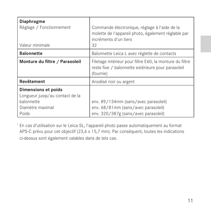| Diaphragme<br>Réglage / Fonctionnement<br>Valeur minimale                                         | Commande électronique, réglage à l'aide de la<br>molette de l'appareil photo, également réglable par<br>incréments d'un tiers<br>32 |
|---------------------------------------------------------------------------------------------------|-------------------------------------------------------------------------------------------------------------------------------------|
| <b>Baïonnette</b>                                                                                 | Baïonnette Leica L avec réglette de contacts                                                                                        |
| Monture du filtre / Parasoleil                                                                    | Filetage intérieur pour filtre E60, la monture du filtre<br>reste fixe / baïonnette extérieure pour parasoleil<br>(fournie)         |
| Revêtement                                                                                        | Anodisé noir ou argent                                                                                                              |
| Dimensions et poids<br>Longueur jusqu'au contact de la<br>baïonnette<br>Diamètre maximal<br>Poids | env. 89/134mm (sans/avec parasoleil)<br>env. 68/81mm (sans/avec parasoleil)<br>env. 320/387g (sans/avec parasoleil)                 |

<sup>1</sup> En cas d'utilisation sur le Leica SL, l'appareil photo passe automatiquement au format APS-C prévu pour cet objectif (23,6 x 15,7 mm). Par conséquent, toutes les indications ci-dessus sont également valables dans de tels cas.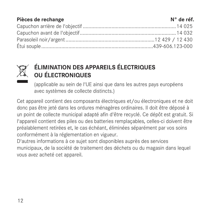| Pièces de rechange | N° de réf. |
|--------------------|------------|
|                    |            |
|                    |            |
|                    |            |
|                    |            |

## **ÉLIMINATION DES APPAREILS ÉLECTRIQUES OU ÉLECTRONIQUES**

(applicable au sein de l'UE ainsi que dans les autres pays européens avec systèmes de collecte distincts.)

Cet appareil contient des composants électriques et/ou électroniques et ne doit donc pas être jeté dans les ordures ménagères ordinaires. Il doit être déposé à un point de collecte municipal adapté afin d'être recyclé. Ce dépôt est gratuit. Si l'appareil contient des piles ou des batteries remplaçables, celles-ci doivent être préalablement retirées et, le cas échéant, éliminées séparément par vos soins conformément à la réglementation en vigueur.

D'autres informations à ce sujet sont disponibles auprès des services municipaux, de la société de traitement des déchets ou du magasin dans lequel vous avez acheté cet appareil.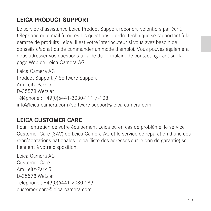## **LEICA PRODUCT SUPPORT**

Le service d'assistance Leica Product Support répondra volontiers par écrit, téléphone ou e-mail à toutes les questions d'ordre technique se rapportant à la gamme de produits Leica. Il est votre interlocuteur si vous avez besoin de conseils d'achat ou de commander un mode d'emploi. Vous pouvez également nous adresser vos questions à l'aide du formulaire de contact figurant sur la page Web de Leica Camera AG.

Leica Camera AG Product Support / Software Support Am Leitz-Park 5 D-35578 Wetzlar Téléphone : +49(0)6441-2080-111 /-108 info@leica-camera.com/software-support@leica-camera.com

#### **LEICA CUSTOMER CARE**

Pour l'entretien de votre équipement Leica ou en cas de problème, le service Customer Care (SAV) de Leica Camera AG et le service de réparation d'une des représentations nationales Leica (liste des adresses sur le bon de garantie) se tiennent à votre disposition.

Leica Camera AG Customer Care Am Leitz-Park 5 D-35578 Wetzlar Téléphone : +49(0)6441-2080-189 customer.care@leica-camera.com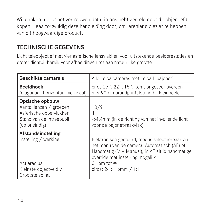Wij danken u voor het vertrouwen dat u in ons hebt gesteld door dit objectief te kopen. Lees zorgvuldig deze handleiding door, om jarenlang plezier te hebben van dit hoogwaardige product.

#### **TECHNISCHE GEGEVENS**

Licht teleobjectief met vier asferische lensvlakken voor uitstekende beeldprestaties en groter dichtbij-bereik voor afbeeldingen tot aan natuurlijke grootte

| Geschikte camara's                                                                                                 | Alle Leica cameras met Leica L-bajonet <sup>1</sup>                                                                                                                                                                                     |
|--------------------------------------------------------------------------------------------------------------------|-----------------------------------------------------------------------------------------------------------------------------------------------------------------------------------------------------------------------------------------|
| <b>Beeldhoek</b><br>(diagonaal, horizontaal, verticaal)                                                            | circa 27°, 22°, 15°, komt ongeveer overeen<br>met 90mm brandpuntafstand bij kleinbeeld                                                                                                                                                  |
| Optische opbouw<br>Aantal lenzen / groepen<br>Asferische oppervlakken<br>Stand van de intreepupil<br>(op oneindig) | 10/9<br>4<br>-64.4mm (in de richting van het invallende licht<br>voor de bajonet-raakvlak)                                                                                                                                              |
| Afstandsinstelling<br>Instelling / werking<br>Actieradius<br>Kleinste objectveld /<br>Grootste schaal              | Elektronisch gestuurd, modus selecteerbaar via<br>het menu van de camera: Automatisch (AF) of<br>Handmatig (M = Manual), in AF altijd handmatige<br>override met instelring mogelijk<br>$0.16$ m tot $\infty$<br>circa: 24 x 16mm / 1:1 |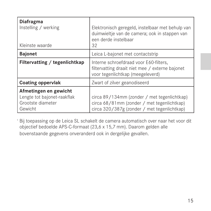| Diafragma<br>Instelling / werking<br>Kleinste waarde                                 | Elektronisch geregeld, instelbaar met behulp van<br>duimwieltje van de camera; ook in stappen van<br>een derde instelbaar<br>32          |
|--------------------------------------------------------------------------------------|------------------------------------------------------------------------------------------------------------------------------------------|
| <b>Bajonet</b>                                                                       | Leica L-bajonet met contactstrip                                                                                                         |
| Filtervatting / tegenlichtkap                                                        | Interne schroefdraad voor E60-filters,<br>filtervatting draait niet mee / externe bajonet<br>voor tegenlichtkap (meegeleverd)            |
| Coating oppervlak                                                                    | Zwart of zilver geanodiseerd                                                                                                             |
| Afmetingen en gewicht<br>Lengte tot bajonet-raakflak<br>Grootste diameter<br>Gewicht | circa 89/134mm (zonder / met tegenlichtkap)<br>circa 68/81mm (zonder / met tegenlichtkap)<br>circa 320/387g (zonder / met tegenlichtkap) |

<sup>1</sup> Bij toepassing op de Leica SL schakelt de camera automatisch over naar het voor dit objectief bedoelde APS-C-formaat (23,6 x 15,7 mm). Daarom gelden alle bovenstaande gegevens onveranderd ook in dergelijke gevallen.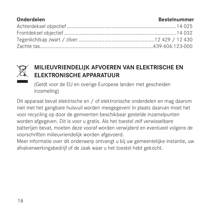#### **Onderdelen Bestelnummer**

### **MILIEUVRIENDELIJK AFVOEREN VAN ELEKTRISCHE EN ELEKTRONISCHE APPARATUUR**

(Geldt voor de EU en overige Europese landen met gescheiden inzameling)

Dit apparaat bevat elektrische en / of elektronische onderdelen en mag daarom niet met het gangbare huisvuil worden meegegeven! In plaats daarvan moet het voor recycling op door de gemeenten beschikbaar gestelde inzamelpunten worden afgegeven. Dit is voor u gratis. Als het toestel zelf verwisselbare batterijen bevat, moeten deze vooraf worden verwijderd en eventueel volgens de voorschriften milieuvriendelijk worden afgevoerd.

Meer informatie over dit onderwerp ontvangt u bij uw gemeentelijke instantie, uw afvalverwerkingsbedrijf of de zaak waar u het toestel hebt gekocht.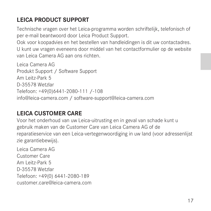## **LEICA PRODUCT SUPPORT**

Technische vragen over het Leica-programma worden schriftelijk, telefonisch of per e-mail beantwoord door Leica Product Support.

Ook voor koopadvies en het bestellen van handleidingen is dit uw contactadres. U kunt uw vragen eveneens door middel van het contactformulier op de website van Leica Camera AG aan ons richten.

Leica Camera AG Produkt Support / Software Support Am Leitz-Park 5 D-35578 Wetzlar Telefoon: +49(0)6441-2080-111 /-108 info@leica-camera.com / software-support@leica-camera.com

#### **LEICA CUSTOMER CARE**

Voor het onderhoud van uw Leica-uitrusting en in geval van schade kunt u gebruik maken van de Customer Care van Leica Camera AG of de reparatieservice van een Leica-vertegenwoordiging in uw land (voor adressenlijst zie garantiebewijs).

Leica Camera AG Customer Care Am Leitz-Park 5 D-35578 Wetzlar Telefoon: +49(0) 6441-2080-189 customer.care@leica-camera.com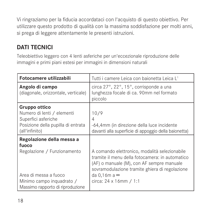Vi ringraziamo per la fiducia accordataci con l'acquisto di questo obiettivo. Per utilizzare questo prodotto di qualità con la massima soddisfazione per molti anni, si prega di leggere attentamente le presenti istruzioni.

## **DATI TECNICI**

Teleobiettivo leggero con 4 lenti asferiche per un'eccezionale riproduzione delle immagini e primi piani estesi per immagini in dimensioni naturali

| Fotocamere utilizzabili                                                                                                    | Tutti i camere Leica con baionetta Leica L1                                                                                                                                                                     |
|----------------------------------------------------------------------------------------------------------------------------|-----------------------------------------------------------------------------------------------------------------------------------------------------------------------------------------------------------------|
| Angolo di campo<br>(diagonale, orizzontale, verticale)                                                                     | circa 27°, 22°, 15°, corrisponde a una<br>lunghezza focale di ca. 90mm nel formato<br>piccolo                                                                                                                   |
| Gruppo ottico<br>Numero di lenti / elementi<br>Superfici asferiche<br>Posizione della pupilla di entrata<br>(all'infinito) | 10/9<br>4<br>-64,4mm (in direzione della luce incidente<br>davanti alla superficie di appoggio della baionetta)                                                                                                 |
| Regolazione della messa a<br>fuoco<br>Regolazione / Funzionamento<br>Area di messa a fuoco                                 | A comando elettronico, modalità selezionabile<br>tramite il menu della fotocamera: in automatico<br>(AF) o manuale (M), con AF sempre manuale<br>sovramodulazione tramite ghiera di regolazione<br>da 0,16m a ∞ |
| Minimo campo inguadrato /<br>Massimo rapporto di riproduzione                                                              | circa: 24 x 16mm / 1:1                                                                                                                                                                                          |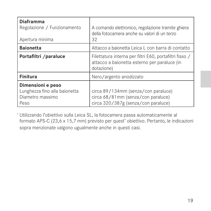| Diaframma<br>Regolazione / Funzionamento<br>Apertura minima                    | A comando elettronico, regolazione tramite ghiera<br>della fotocamera anche su valori di un terzo<br>32               |
|--------------------------------------------------------------------------------|-----------------------------------------------------------------------------------------------------------------------|
| <b>Baionetta</b>                                                               | Attacco a baionetta Leica L con barra di contatto                                                                     |
| Portafiltri /paraluce                                                          | Filettatura interna per filtri E60, portafiltri fisso /<br>attacco a baionetta esterno per paraluce (in<br>dotazione) |
| Finitura                                                                       | Nero/argento anodizzato                                                                                               |
| Dimensioni e peso<br>Lunghezza fino alla baionetta<br>Diametro massimo<br>Peso | circa 89/134mm (senza/con paraluce)<br>circa 68/81mm (senza/con paraluce)<br>circa 320/387g (senza/con paraluce)      |

<sup>1</sup> Utilizzando l'obiettivo sulla Leica SL, la fotocamera passa automaticamente al formato APS-C (23,6 x 15,7 mm) previsto per quest' obiettivo. Pertanto, le indicazioni sopra menzionate valgono ugualmente anche in questi casi.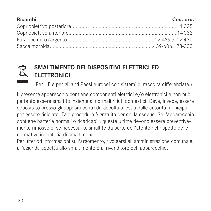| Ricambi | Cod. ord. |
|---------|-----------|
|         |           |
|         |           |
|         |           |
|         |           |

## **SMALTIMENTO DEI DISPOSITIVI ELETTRICI ED ELETTRONICI**

(Per UE e per gli altri Paesi europei con sistemi di raccolta differenziata.)

Il presente apparecchio contiene componenti elettrici e/o elettronici e non può pertanto essere smaltito insieme ai normali rifiuti domestici. Deve, invece, essere depositato presso gli appositi centri di raccolta allestiti dalle autorità municipali per essere riciclato. Tale procedura è gratuita per chi la esegue. Se l'apparecchio contiene batterie normali o ricaricabili, queste ultime devono essere preventivamente rimosse e, se necessario, smaltite da parte dell'utente nel rispetto delle normative in materia di smaltimento.

Per ulteriori informazioni sull'argomento, rivolgersi all'amministrazione comunale, all'azienda addetta allo smaltimento o al rivenditore dell'apparecchio.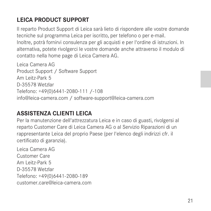## **LEICA PRODUCT SUPPORT**

Il reparto Product Support di Leica sarà lieto di rispondere alle vostre domande tecniche sul programma Leica per iscritto, per telefono o per e-mail. Inoltre, potrà fornirvi consulenza per gli acquisti e per l'ordine di istruzioni. In alternativa, potete rivolgerci le vostre domande anche attraverso il modulo di contatto nella home page di Leica Camera AG.

Leica Camera AG Product Support / Software Support Am Leitz-Park 5 D-35578 Wetzlar Telefono: +49(0)6441-2080-111 /-108 info@leica-camera.com / software-support@leica-camera.com

#### **ASSISTENZA CLIENTI LEICA**

Per la manutenzione dell'attrezzatura Leica e in caso di guasti, rivolgersi al reparto Customer Care di Leica Camera AG o al Servizio Riparazioni di un rappresentante Leica del proprio Paese (per l'elenco degli indirizzi cfr. il certificato di garanzia).

Leica Camera AG Customer Care Am Leitz-Park 5 D-35578 Wetzlar Telefono: +49(0)6441-2080-189 customer.care@leica-camera.com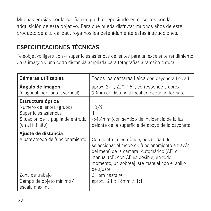Muchas gracias por la confianza que ha depositado en nosotros con la adquisición de este objetivo. Para que pueda disfrutar muchos años de este producto de alta calidad, rogamos lea detenidamente estas instrucciones.

## **ESPECIFICACIONES TÉCNICAS**

Teleobjetivo ligero con 4 superficies asféricas de lentes para un excelente rendimiento de la imagen y una corta distancia ampliada para fotografías a tamaño natural

| Cámaras utilizables                                                                                                            | Todos los cámaras Leica con bayoneta Leica L'                                                                                                                                                                                                                                                   |
|--------------------------------------------------------------------------------------------------------------------------------|-------------------------------------------------------------------------------------------------------------------------------------------------------------------------------------------------------------------------------------------------------------------------------------------------|
| Angulo de imagen<br>(diagonal, horizontal, vertical)                                                                           | aprox. 27°, 22°, 15°, corresponde a aprox.<br>90mm de distancia focal en pequeño formato                                                                                                                                                                                                        |
| Estructura óptica<br>Número de lentes/grupos<br>Superficies asféricas<br>Situación de la pupila de entrada<br>(en el infinito) | 10/9<br>4<br>-64.4mm (con sentido de incidencia de la luz<br>delante de la superficie de apoyo de la bayoneta)                                                                                                                                                                                  |
| Ajuste de distancia<br>Ajuste/modo de funcionamiento<br>Zona de trabajo<br>Campo de objeto mínimo/<br>escala máxima            | Con control electrónico, posibilidad de<br>seleccionar el modo de funcionamiento a través<br>del menú de la cámara: Automático (AF) o<br>manual (M); con AF es posible, en todo<br>momento, un sobreajuste manual con el anillo<br>de ajuste<br>0,16m hasta $\infty$<br>aprox.: 24 x 16mm / 1:1 |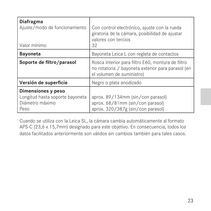| Diafragma<br>Ajuste/modo de funcionamiento<br>Valor mínimo                       | Con control electrónico, ajuste con la rueda<br>giratoria de la cámara, posibilidad de ajustar<br>valores con tercios<br>32         |
|----------------------------------------------------------------------------------|-------------------------------------------------------------------------------------------------------------------------------------|
| Bayoneta                                                                         | Bayoneta Leica L con regleta de contactos                                                                                           |
| Soporte de filtro/parasol                                                        | Rosca interior para filtro E60, montura de filtro<br>no rotatoria / bayoneta exterior para parasol (en<br>el volumen de suministro) |
| Versión de superficie                                                            | Negro o plata anodizado                                                                                                             |
| Dimensiones y peso<br>Longitud hasta soporte bayoneta<br>Diámetro máximo<br>Peso | aprox. 89/134mm (sin/con parasol)<br>aprox. 68/81mm (sin/con parasol)<br>aprox. 320/387g (sin/con parasol)                          |

<sup>1</sup> Cuando se utiliza con la Leica SL, la cámara cambia automáticamente al formato APS-C (23,6 x 15,7mm) designado para este objetivo. En consecuencia, todos los datos facilitados anteriormente son válidos sin cambios también para tales casos.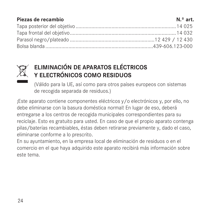| Piezas de recambio | N.º art. |
|--------------------|----------|
|                    |          |
|                    |          |
|                    |          |
|                    |          |

## **ELIMINACIÓN DE APARATOS ELÉCTRICOS Y ELECTRÓNICOS COMO RESIDUOS**

(Válido para la UE, así como para otros países europeos con sistemas de recogida separada de residuos.)

¡Este aparato contiene componentes eléctricos y/o electrónicos y, por ello, no debe eliminarse con la basura doméstica normal! En lugar de eso, deberá entregarse a los centros de recogida municipales correspondientes para su reciclaje. Esto es gratuito para usted. En caso de que el propio aparato contenga pilas/baterías recambiables, éstas deben retirarse previamente y, dado el caso, eliminarse conforme a lo prescrito.

En su ayuntamiento, en la empresa local de eliminación de residuos o en el comercio en el que haya adquirido este aparato recibirá más información sobre este tema.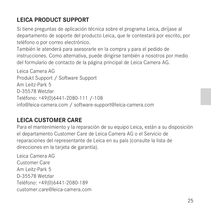## **LEICA PRODUCT SUPPORT**

Si tiene preguntas de aplicación técnica sobre el programa Leica, diríjase al departamento de soporte del producto Leica, que le contestará por escrito, por teléfono o por correo electrónico.

También le atenderá para asesorarle en la compra y para el pedido de instrucciones. Como alternativa, puede dirigirse también a nosotros por medio del formulario de contacto de la página principal de Leica Camera AG.

Leica Camera AG Produkt Support / Software Support Am Leitz-Park 5 D-35578 Wetzlar Teléfono: +49(0)6441-2080-111 /-108 info@leica-camera.com / software-support@leica-camera.com

#### **LEICA CUSTOMER CARE**

Para el mantenimiento y la reparación de su equipo Leica, están a su disposición el departamento Customer Care de Leica Camera AG o el Servicio de reparaciones del representante de Leica en su país (consulte la lista de direcciones en la tarjeta de garantía).

Leica Camera AG Customer Care Am Leitz-Park 5 D-35578 Wetzlar Teléfono: +49(0)6441-2080-189 customer.care@leica-camera.com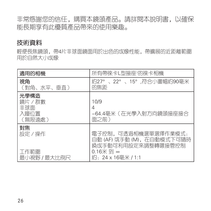非常感謝您的信任,購買本鏡頭產品。請詳閱本說明書,以確保 能長期享有此優質產品帶來的使用樂趣。

#### 技術資料

輕便長焦鏡頭,帶4片非球面鏡面用於出色的成像性能,帶擴展的近距離範圍 用於自然大小成像

| 適用的相機                                    | 所有帶徠卡L型接座'的徠卡相機                                                                                              |
|------------------------------------------|--------------------------------------------------------------------------------------------------------------|
| 視角<br>(對角、水平、垂直)                         | 約27°、22°、15°.符合小畫幅約90毫米<br>的焦距                                                                               |
| 光學構造<br>鏡片 / 群數<br>非球面<br>入瞳位置<br>(無限遠處) | 10/9<br>4<br>–64.4毫米(在光學入射方向鏡頭接座接合<br>面之前)                                                                   |
| 對焦<br>設定 / 操作<br>工作範圍<br>最小視野 / 最大比例尺    | 電子控制,可透過相機選單選擇作業模式:<br>自動 (AF) 或手動 (M),在自動模式下可隨時<br>換成手動可利用設定來調整轉環接管控制<br>$0.16$ 米 到 ∞<br>約: 24 x 16毫米 / 1:1 |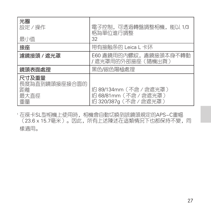| 光圈<br>設定 / 操作<br>最小值                       | 電子控制,可透過轉盤調整相機,能以 1/3<br>格為單位進行調整<br>32                                  |
|--------------------------------------------|--------------------------------------------------------------------------|
| 接座                                         | 带有接触条的 Leica L 卡环                                                        |
| 濾鏡接頭 / 遮光罩                                 | E60 瀛鏡用的内螺紋,瀛鏡接頭本身不轉動<br>/ 遮光罩用的外部接座(隨機出貨)                               |
| 鏡頭表面處理                                     | 黑色/銀色陽極處理                                                                |
| 尺寸及重量<br>長度為直到鏡頭接座接合面的<br>距離<br>最大直徑<br>重量 | 約 89/134mm(不含 / 含遮光罩)<br>約 68/81mm (不含 / 含遮光罩)<br>約 320/387g (不含 / 含遮光罩) |

<sup>1</sup> 在徠卡SL型相機上使用時,相機會自動切換到該鏡頭規定的APS-C畫幅 (23.6 x 15.7毫米)。因此,所有上述陳述在這類情況下也都保持不變,同 樣適用。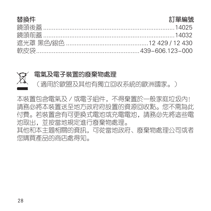| 替換件                               | 訂單編號 |
|-----------------------------------|------|
|                                   |      |
| 鏡頭前蓋 ……………………………………………………………14032 |      |
|                                   |      |
|                                   |      |



#### 電氣及電子裝置的廢棄物處理

(適用於歐盟及其他有獨立回收系統的歐洲國家。)

本裝置包含電氣及/或電子組件,不得棄置於一般家庭垃圾内! 請務必將本裝置送至地方政府府設置的資源回收點。您不需為此 付費。若裝置含有可更換式電池或充電電池,請務必先將這些電 池取出,並按當地規定進行廢棄物處理。 其他和本主題相關的資訊,可從當地政府、廢棄物處理公司或者 您購買產品的商店處得知。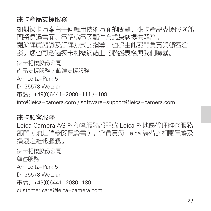### 徠卡產品支援服務

如對徠卡方案有任何應用技術方面的問題,徠卡產品支援服務部 門將透過書面、電話或電子郵件方式為您提供解答。 關於購買諮詢及訂購方式的指導,也都由此部門負責與顧客洽 談。您也可透過徠卡相機網站上的聯絡表格與我們聯繫。

徠卡相機股份公司 產品支援服務 / 軟體支援服務 Am Leitz-Park 5

D-35578 Wetzlar

電話:+49(0)6441-2080-111 /-108

info@leica-camera.com / software-support@leica-camera.com

#### 徠卡顧客服務

Leica Camera AG 的顧客服務部門或 Leica 的地區代理維修服務 部門(地址請參閱保證書),會負責您 Leica 裝備的相關保養及 損壞之維修服務。

徠卡相機股份公司 顧客服務

Am Leitz-Park 5

D-35578 Wetzlar

電話:+49(0)6441-2080-189

customer.care@leica-camera.com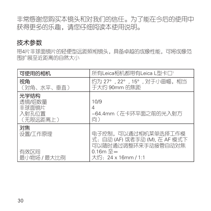非常感谢您购买本镜头和对我们的信任。为了能在今后的使用中 获得更多的乐趣,请您仔细阅读本使用说明。

#### 技术参数

带4片非球面镜片的轻便型远距照相镜头,具备卓越的成像性能,可将成像范 围扩展至近距离的自然大小

| 可使用的相机                                       | 所有Leica相机都带有Leica L型卡口'                                                                                                                |
|----------------------------------------------|----------------------------------------------------------------------------------------------------------------------------------------|
| 视角<br>(对角、水平、垂直)                             | 约为 27°, 22°, 15°, 对于小画幅, 相当<br>干大约 90mm 的焦距                                                                                            |
| 光学结构<br>透镜/组数量<br>非球面镜片<br>入射孔位置<br>(无限沅距离上) | 10/9<br>4<br>-64.4mm(在卡环平面之前的光入射方<br>向)                                                                                                |
| 对焦<br>设置/工作原理<br>有效区间<br>最小物场 / 最大比例         | 电子控制,可以通过相机菜单选择工作模<br>式: 自动 (AF) 或者手动 (M), 在 AF 模式下<br>可以随时通过调整环来手动接管自动对焦<br>0.16m $\overline{\oplus}$ $\infty$<br>大约: 24 x 16mm / 1:1 |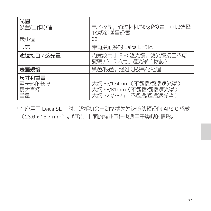| 光圈<br>设置/工作原理<br>最小值          | 电子控制,通过相机的转轮设置,可以洗择<br>1/3级距增量设置<br>32                                      |
|-------------------------------|-----------------------------------------------------------------------------|
| 卡环                            | 带有接触条的 Leica L 卡环                                                           |
| 滤镜接□ / 遮光罩                    | 内螺纹用于 E60 滤光镜,滤光镜接口不可<br>旋转 / 外卡环用于遮光罩(标配)                                  |
| 表面规格                          | 黑色/银色, 经过阳极氧化处理                                                             |
| 尺寸和重量<br>至卡环的长度<br>最大直径<br>重量 | 大约 89/134mm (不包括/包括遮光罩)<br>大约 68/81mm(不包括/包括遮光罩)<br>大约 320/387g (不包括/包括遮光罩) |

1 在应用于 Leica SL 上时, 照相机会自动切换为为该镜头预设的 APS C 格式, (23.6 x 15.7 mm)。所以,上面的描述同样也适用于类似的情形。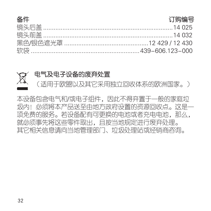| 各件                                  | 订购编号 |
|-------------------------------------|------|
|                                     |      |
| 镜头前盖 ………………………………………………………………14 032 |      |
|                                     |      |
|                                     |      |

### 电气及电子设备的废弃处置

(适用于欧盟以及其它采用独立回收体系的欧洲国家。)

本设备包含电气和/或电子组件,因此不得弃置于一般的家庭垃 圾内!必须将本产品送至由地方政府设置的资源回收点。这是一 顶免费的服务。若设备配有可更换的电池或者充电电池,那么, 就必须事先将这些零件取出,且按当地规定进行废弃处理。 其它相关信息请向当地管理部门、垃圾处理站或经销商咨询。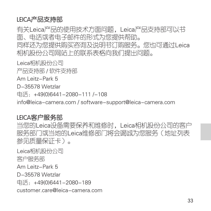## LEICA产品支持部

有关Leica产品的使用技术方面问题,Leica产品支持部可以书 面、电话或者电子邮件的形式为您提供帮助。 同样还为您提供购买咨询及说明书订购服务。您也可通过Leica 相机股份公司网站上的联系表格向我们提出问题。

Leica相机股份公司

产品支持部 / 软件支持部

Am Leitz-Park 5

D-35578 Wetzlar

电话:+49(0)6441-2080-111 /-108

info@leica-camera.com / software-support@leica-camera.com

#### LEICA客户服务部

当您的Leica设备需要保养和维修时,Leica相机股份公司的客户 服务部门或当地的Leica维修部门将会竭诚为您服务(地址列表 参见质量保证卡)。

Leica相机股份公司

客户服务部

Am Leitz-Park 5

D-35578 Wetzlar

电话:+49(0)6441-2080-189

customer.care@leica-camera.com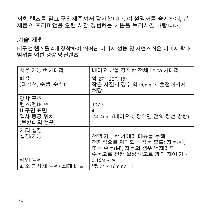저희 렌즈를 믿고 구입해주셔서 감사합니다. 이 설명서를 숙지하여, 본 제품의 프리미엄을 오랜 시간 경험하는 기쁨을 누리시길 바랍니다.

#### 기술 제원

비구면 렌즈를 4개 장착하여 뛰어난 이미지 성능 및 자연스러운 이미지 확대 범위를 넓힌 경량 망원렌즈

| 사용 가능한 카메라                                          | 베이오넷'을 장착한 전체 Leica 카메라                                                                                                                      |
|-----------------------------------------------------|----------------------------------------------------------------------------------------------------------------------------------------------|
| 화각<br>(대각선, 수평, 수직)                                 | 약 27°, 22°, 15°<br>작은 사진의 경우 약 90mm의 초점거리에<br>해당                                                                                             |
| 광학 구조<br>렌즈/멤버 수<br>비구면 표면<br>입사 동공 위치<br>(무한대의 경우) | 10/9<br>4<br>-64.4mm (베이오넷 장착면 전의 광선 방향)                                                                                                     |
| 거리 설정<br>설정/기능<br>작업 범위<br>최소 피사체 범위/ 최대 배율         | 선택 가능한 카메라 메뉴를 통해<br>전자적으로 제어되는 작동 모드: 자동(AF)<br>또는 수동(M), 자동의 경우 언제라도<br>수동으로 전환 설정 링으로 과다 제어 가능<br>$0.16m \sim \infty$<br>약: 24 x 16mm/1:1 |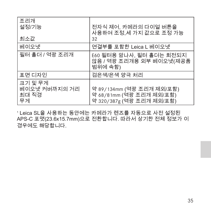| 조리개<br>설정/기능                            | 전자식 제어, 카메라의 다이얼 버튼을<br>사용하여 조정,세 가지 값으로 조정 가능                                     |
|-----------------------------------------|------------------------------------------------------------------------------------|
| 최소값                                     | 32                                                                                 |
| 베이오넷                                    | 연결부를 포함한 Leica L 베이오넷                                                              |
| 필터 홀더 / 역광 조리개                          | E60 필터용 암나사, 필터 홀더는 회전되지<br>않음 / 역광 조리개용 외부 베이오넷(제공품<br>범위에 속함)                    |
| 표면 디자인                                  | 검은색/은색 양극 처리                                                                       |
| 크기 및 무게<br>베이오넷 커버까지의 거리<br>최대 직경<br>무게 | 약 89/134mm (역광 조리개 제외/포함)<br>약 68/81mm (역광 조리개 제외/포함)<br>약 320/387g (역광 조리개 제외/포함) |

1 Leica SL을 사용하는 동안에는 카메라가 렌즈를 자동으로 사전 설정된 APS-C 포맷(23.6x15.7mm)으로 전환합니다. 따라서 상기한 전체 정보가 이 경우에도 해당합니다.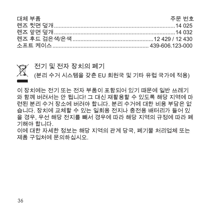| 대체 부품 | 주문 번호 |
|-------|-------|
|       |       |
|       |       |
|       |       |
|       |       |

전기 및 전자 장치의 폐기 (분리 수거 시스템을 갖춘 EU 회원국 및 기타 유럽 국가에 적용)

이 장치에는 전기 또는 전자 부품이 포함되어 있기 때문에 일반 쓰레기 와 함께 버려서는 안 됩니다! 그 대신 재활용할 수 있도록 해당 지역에 마 련된 분리 수거 장소에 버려야 합니다. 분리 수거에 대한 비용 부담은 없 습니다. 장치에 교체할 수 있는 일회용 전지나 충전용 배터리가 들어 있 을 경우, 우선 해당 전지를 빼서 경우에 따라 해당 지역의 규정에 따라 폐 기해야 합니다.

이에 대한 자세한 정보는 해당 지역의 관계 당국, 폐기물 처리업체 또는 제품 구입처에 문의하십시오.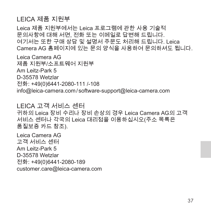#### LEICA 제품 지원부

Leica 제품 지원부에서는 Leica 프로그램에 관한 사용 기술적 문의사항에 대해 서면, 전화 또는 이메일로 답변해 드립니다. 여기서는 또한 구매 상담 및 설명서 주문도 처리해 드립니다. Leica Camera AG 홈페이지에 있는 문의 양식을 사용하여 문의하셔도 됩니다.

Leica Camera AG 제품 지원부/소프트웨어 지원부 Am Leitz-Park 5 D-35578 Wetzlar 전화: +49(0)6441-2080-111 /-108 info@leica-camera.com/ software-support@leica-camera.com

LEICA 고객 서비스 센터 귀하의 Leica 장비 수리나 장비 손상의 경우 Leica Camera AG의 고객 서비스 센터나 각국의 Leica 대리점을 이용하십시오(주소 목록은 품질보증 카드 참조).

Leica Camera AG 고객 서비스 센터 Am Leitz-Park 5 D-35578 Wetzlar 전화: +49(0)6441-2080-189 customer.care@leica-camera.com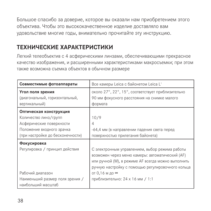Большое спасибо за доверие, которое вы оказали нам приобретением этого объектива. Чтобы это высококачественное изделие доставляло вам удовольствие многие годы, внимательно прочитайте эту инструкцию.

## **ТЕХНИЧЕСКИЕ ХАРАКТЕРИСТИКИ**

Легкий телеобъектив с 4 асферическими линзами, обеспечивающими прекрасное качество изображения, и расширенными характеристиками макросъемки; при этом также возможна съемка объектов в обычном размере

| Совместимые фотоаппараты                                                                                                                     | Все камеры Leica с байонетом Leica L'                                                                                                                                                                                                                              |
|----------------------------------------------------------------------------------------------------------------------------------------------|--------------------------------------------------------------------------------------------------------------------------------------------------------------------------------------------------------------------------------------------------------------------|
| Угол поля зрения<br>(диагональный, горизонтальный,<br>вертикальный)                                                                          | около 27°, 22°, 15°, соответствует приблизительно<br>90 мм фокусного расстояния на снимке малого<br>формата                                                                                                                                                        |
| Оптическая конструкция<br>Количество линз/групп<br>Асферические поверхности<br>Положение входного зрачка<br>(при настройке до бесконечности) | 10/9<br>4<br>-64,4 мм (в направлении падения света перед<br>поверхностью прилегания байонета)                                                                                                                                                                      |
| Фокусировка<br>Регулировка / принцип действия<br>Рабочий диапазон<br>Наименьший размер поля зрения /<br>наибольший масштаб                   | С электронным управлением, выбор режима работы<br>возможен через меню камеры: автоматический (АF)<br>или ручной (М), в режиме АF всегда можно выполнить<br>ручную настройку с помощью регулировочного кольца<br>от 0,16 м до ∞<br>приблизительно: 24 х 16 мм / 1:1 |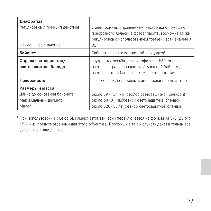| Диафрагма<br>Регулировка / принцип действия<br>Наименьшее значение              | с электронным управлением, настройка с помощью<br>поворотного Колесика фотоаппарата, возможна также<br>регулировка с использованием третьей части значения<br>32 |
|---------------------------------------------------------------------------------|------------------------------------------------------------------------------------------------------------------------------------------------------------------|
| Байонет                                                                         | Байонет Leica L с контактной плошадкой                                                                                                                           |
| Оправа светофильтра/<br>светозашитная бленда                                    | внутренняя резьба для светофильтра Е60, оправа<br>светофильтра не вращается / Внешний байонет для<br>светозащитной бленды (в комплекте поставки)                 |
| Поверхность                                                                     | Цвет черный/серебряный, анодированное покрытие                                                                                                                   |
| Размеры и масса<br>Длина до основания байонета<br>Максимальный диаметр<br>Масса | около 89/134 мм (без/со светозащитной блендой)<br>около 68/81 мм (без/со светозащитной блендой)<br>около 320/387 г (без/со светозащитной блендой)                |

 $1$  При использовании с Leica SL камера автоматически переключается на формат APS-C (23,6 х 15,7 мм), предусмотренный для этого объектива. Поэтому и в таких случаях действительны все указанные выше данные.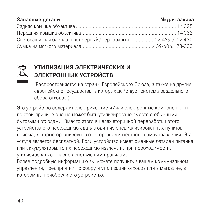#### **Запасные детали № для заказа**

| Светозащитная бленда, цвет черный/серебряный 12 429 / 12 430 |  |
|--------------------------------------------------------------|--|
|                                                              |  |

## **УТИЛИЗАЦИЯ ЭЛЕКТРИЧЕСКИХ И ЭЛЕКТРОННЫХ УСТРОЙСТВ**

(Распространяется на страны Европейского Союза, а также на другие европейские государства, в которых действует система раздельного сбора отходов.)

Это устройство содержит электрические и/или электронные компоненты, и по этой причине оно не может быть утилизировано вместе с обычными бытовыми отходами! Вместо этого в целях вторичной переработки этого устройства его необходимо сдать в один из специализированных пунктов приема, которые организовываются органами местного самоуправления. Эта услуга является бесплатной. Если устройство имеет сменные батареи питания или аккумуляторы, то их необходимо извлечь и, при необходимости, утилизировать согласно действующим правилам.

Более подробную информацию вы можете получить в вашем коммунальном управлении, предприятии по сбору и утилизации отходов или в магазине, в котором вы приобрели это устройство.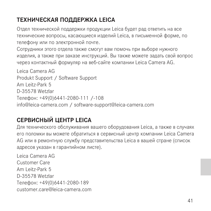## **ТЕХНИЧЕСКАЯ ПОДДЕРЖКА LEICA**

Отдел технической поддержки продукции Leica будет рад ответить на все технические вопросы, касающиеся изделий Leica, в письменной форме, по телефону или по электронной почте.

Сотрудники этого отдела также смогут вам помочь при выборе нужного изделия, а также при заказе инструкций. Вы также можете задать свой вопрос через контактный формуляр на веб-сайте компании Leica Camera AG.

Leica Camera AG Produkt Support / Software Support Am Leitz-Park 5 D-35578 Wetzlar Телефон: +49(0)6441-2080-111 /-108 info@leica-camera.com / software-support@leica-camera.com

## **СЕРВИСНЫЙ ЦЕНТР LEICA**

Для технического обслуживания вашего оборудования Leica, а также в случаях его поломки вы можете обратиться в сервисный центр компании Leica Camera AG или в ремонтную службу представительства Leica в вашей стране (список адресов указан в гарантийном листе).

Leica Camera AG Customer Care Am Leitz-Park 5 D-35578 Wetzlar Телефон: +49(0)6441-2080-189 customer.care@leica-camera.com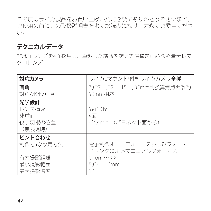この度はライカ製品をお買い上げいただき誠にありがとうございます。 ご使用の前にこの取扱説明書をよくお読みになり、末永くご愛用くださ い。

### **テクニカルデータ**

非球面レンズを4面採用し、卓越した結像を誇る等倍撮影可能な軽量テレマ クロレンズ

| 対応カメラ                                             | ライカLマウント'付きライカカメラ全種                                                                  |
|---------------------------------------------------|--------------------------------------------------------------------------------------|
| 画角                                                | 約 27°, 22°, 15°, 35mm判換算焦点距離約                                                        |
| 対角/水平/垂直                                          | 90mm相応                                                                               |
| 光学設計<br>レンズ構成<br>非球面<br>絞り羽根の位置<br>(無限遠時)         | 9群10枚<br>4面<br>-64.4mm (バヨネット面から)                                                    |
| ピント合わせ<br>制御方式/設定方法<br>有効撮影距離<br>最小撮影範囲<br>最大撮影倍率 | 電子制御オートフォーカスおよびフォーカ<br>スリングによるマニュアルフォーカス<br>0.16m $\sim \infty$<br>約24×16mm<br>$1-1$ |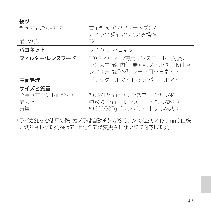| 絞り<br>制御方式/設定方法<br>最小絞り            | 電子制御 (1/3段ステップ) /<br>カメラのダイヤルによる操作<br>32                                     |
|------------------------------------|------------------------------------------------------------------------------|
| バヨネット                              | ライカ L-バヨネット                                                                  |
| フィルター/レンズフード                       | E60フィルター/専用レンズフード (付属)<br>レンズ先端部内側:無回転フィルター取付枠<br>レンズ先端部外側: フード用バヨネット        |
| 表面処理                               | ブラックアルマイト/シルバーアルマイト                                                          |
| サイズと質量<br>全長(マウント面から)<br>最大径<br>質量 | 約89/134mm (レンズフードなし/あり)<br>約68/81mm (レンズフードなし/あり)<br>約320/387g (レンズフードなし/あり) |

1 ライカSLをご使用の際、カメラは自動的にAPS-Cレンズ (23,6×15,7mm) 仕様 に切り替わります。従って、上記全てが変更されないまま適応します。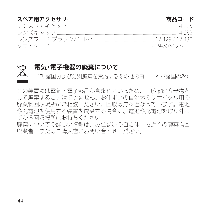| スペア用アクセサリー | 商品コード             |
|------------|-------------------|
|            |                   |
|            |                   |
|            |                   |
|            | - 439-606 123-000 |

### **電気・電子機器の廃棄について**

(EU諸国および分別廃棄を実施するその他のヨーロッパ諸国のみ)

この装置には電気・電子部品が含まれているため、一般家庭廃棄物と して廃棄することはできません。お住まいの自治体のリサイクル用の 廃棄物回収場所にご相談ください。回収は無料となっています。電池 や充電池を使用する装置を廃棄する場合は、電池や充電池を取り外し てから回収場所にお持ちください。

廃棄についての詳しい情報は、お住まいの自治体、お近くの廃棄物回 収業者、またはご購入店にお問い合わせください。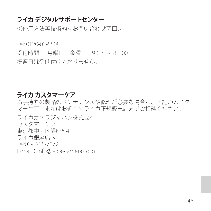#### **ライカデジタルサポートセンター**

<使用方法等技術的なお問い合わせ窓口>

Tel: 0120-03-5508 受付時間: 月曜日ー金曜日 9:30~18:00 祝祭日は受け付けておりません。

#### **ライカカスタマーケア**

お手持ちの製品のメンテナンスや修理が必要な場合は、下記のカスタ マーケア、またはお近くのライカ正規販売店までご相談ください。 ライカカメラジャパン株式会社 カスタマーケア 東京都中央区銀座6-4-1 ライカ銀座店内 Tel:03-6215-7072 E-mail: info@leica-camera.co.jp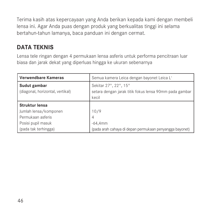Terima kasih atas kepercayaan yang Anda berikan kepada kami dengan membeli lensa ini. Agar Anda puas dengan produk yang berkualitas tinggi ini selama bertahun-tahun lamanya, baca panduan ini dengan cermat.

### **DATA TEKNIS**

Lensa tele ringan dengan 4 permukaan lensa asferis untuk performa pencitraan luar biasa dan jarak dekat yang diperluas hingga ke ukuran sebenarnya

| Verwendbare Kameras                              | Semua kamera Leica dengan bayonet Leica L'                                               |
|--------------------------------------------------|------------------------------------------------------------------------------------------|
| Sudut gambar<br>(diagonal, horizontal, vertikal) | Sekitar 27°, 22°, 15°<br>setara dengan jarak titik fokus lensa 90mm pada gambar<br>kecil |
| Struktur lensa                                   |                                                                                          |
| Jumlah lensa/komponen                            | 10/9                                                                                     |
| Permukaan asferis                                |                                                                                          |
| Posisi pupil masuk                               | $-64.4$ mm                                                                               |
| (pada tak terhingga)                             | (pada arah cahaya di depan permukaan penyangga bayonet)                                  |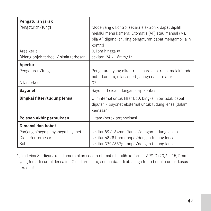| Pengaturan jarak                      |                                                                                                                                                                                  |
|---------------------------------------|----------------------------------------------------------------------------------------------------------------------------------------------------------------------------------|
| Pengaturan/fungsi                     | Mode yang dikontrol secara elektronik dapat dipilih<br>melalui menu kamera: Otomatis (AF) atau manual (M),<br>bila AF digunakan, ring pengaturan dapat mengambil alih<br>kontrol |
| Area kerja                            | 0,16m hingga $\infty$                                                                                                                                                            |
| Bidang objek terkecil/ skala terbesar | sekitar: 24 x 16mm/1:1                                                                                                                                                           |
| Apertur                               |                                                                                                                                                                                  |
| Pengaturan/fungsi                     | Pengaturan yang dikontrol secara elektronik melalui roda<br>putar kamera, nilai sepertiga juga dapat diatur                                                                      |
| Nilai terkecil                        | 32                                                                                                                                                                               |
| Bayonet                               | Bayonet Leica L dengan strip kontak                                                                                                                                              |
| Bingkai filter/tudung lensa           | Ulir internal untuk filter E60, bingkai filter tidak dapat<br>diputar / bayonet eksternal untuk tudung lensa (dalam<br>kemasan)                                                  |
| Polesan akhir permukaan               | Hitam/perak teranodisasi                                                                                                                                                         |
| Dimensi dan bobot                     |                                                                                                                                                                                  |
| Panjang hingga penyangga bayonet      | sekitar 89/134mm (tanpa/dengan tudung lensa)                                                                                                                                     |
| Diameter terhesar                     | sekitar 68/81mm (tanpa/dengan tudung lensa)                                                                                                                                      |
| <b>Bobot</b>                          | sekitar 320/387g (tanpa/dengan tudung lensa)                                                                                                                                     |

<sup>1</sup> Jika Leica SL digunakan, kamera akan secara otomatis beralih ke format APS-C (23,6 x 15,7 mm) yang tersedia untuk lensa ini. Oleh karena itu, semua data di atas juga tetap berlaku untuk kasus tersebut.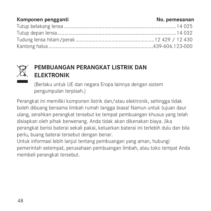#### **Komponen pengganti No. pemesanan**



### **PEMBUANGAN PERANGKAT LISTRIK DAN ELEKTRONIK**

(Berlaku untuk UE dan negara Eropa lainnya dengan sistem pengumpulan terpisah.)

Perangkat ini memiliki komponen listrik dan/atau elektronik, sehingga tidak boleh dibuang bersama limbah rumah tangga biasa! Namun untuk tujuan daur ulang, serahkan perangkat tersebut ke tempat pembuangan khusus yang telah disiapkan oleh pihak berwenang. Anda tidak akan dikenakan biaya. Jika perangkat berisi baterai sekali pakai, keluarkan baterai ini terlebih dulu dan bila perlu, buang baterai tersebut dengan benar.

Untuk informasi lebih lanjut tentang pembuangan yang aman, hubungi pemerintah setempat, perusahaan pembuangan limbah, atau toko tempat Anda membeli perangkat tersebut.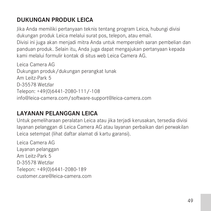## **DUKUNGAN PRODUK LEICA**

Jika Anda memiliki pertanyaan teknis tentang program Leica, hubungi divisi dukungan produk Leica melalui surat pos, telepon, atau email. Divisi ini juga akan menjadi mitra Anda untuk memperoleh saran pembelian dan panduan produk. Selain itu, Anda juga dapat mengajukan pertanyaan kepada kami melalui formulir kontak di situs web Leica Camera AG.

Leica Camera AG Dukungan produk/dukungan perangkat lunak Am Leitz-Park 5 D-35578 Wetzlar Telepon: +49(0)6441-2080-111/-108 info@leica-camera.com/software-support@leica-camera.com

#### **LAYANAN PELANGGAN LEICA**

Untuk pemeliharaan peralatan Leica atau jika terjadi kerusakan, tersedia divisi layanan pelanggan di Leica Camera AG atau layanan perbaikan dari perwakilan Leica setempat (lihat daftar alamat di kartu garansi).

Leica Camera AG Layanan pelanggan Am Leitz-Park 5 D-35578 Wetzlar Telepon: +49(0)6441-2080-189 customer.care@leica-camera.com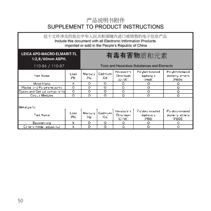#### 产品说明书附件 SUPPLEMENT TO PRODUCT INSTRUCTIONS

这个文件涉及的是在中华人民共和国境内进口或销售的电子信息产品 Include this document with all Electronic Information Products imported or sold in the People's Republic of China

| <b>LEICA APO-MACRO-ELMARIT-TL</b><br>1:2,8/60mm ASPH.       |                                                    | 有毒有害物质和元素         |                 |                                  |                                      |                                              |  |
|-------------------------------------------------------------|----------------------------------------------------|-------------------|-----------------|----------------------------------|--------------------------------------|----------------------------------------------|--|
| 110-86 / 110-87                                             | <b>Toxic and Hazardous Substances and Elements</b> |                   |                 |                                  |                                      |                                              |  |
| Part Name                                                   | Lead<br>:Pb:                                       | Mercury<br>He.    | Gadmium<br>:Gel | Hexavalent<br>Chromium<br>JO-VET | Polybrominated<br>bipheny s<br>(PBB) | Polybrominated<br>diphecy) ethers.<br>(PBDE) |  |
| Metal Parts                                                 | χ                                                  | Ō                 | Ō               | O                                | Ω                                    | Ω                                            |  |
| Plastic and Polymeric parts                                 | ā                                                  | ō                 | Ō               | Ō                                | ō                                    | Ō                                            |  |
| Obtics and Optical components                               | ā                                                  | ō                 | ō               | Ō                                | ō                                    | ۵                                            |  |
| Circult Modules                                             | ā                                                  | Ο                 | ā               | Ō                                | ō                                    | $\circ$                                      |  |
| Metal parts<br>Hexava'ent<br>Palybrommated<br>Polybrommated |                                                    |                   |                 |                                  |                                      |                                              |  |
| Part Name                                                   | Lead<br>:Ph)                                       | Mercury  <br>Hell | Cadmium<br>:Gal | Chromain<br><b>COVE</b>          | bipheriy s<br>:PBB:                  | diplierty) ethers<br>(PBDE)                  |  |
| Bayonet ring                                                | x                                                  | ٥                 | a               | a                                | O                                    | $\circ$                                      |  |
| Gilliens holder adjust nut                                  | x                                                  | o                 | o               | Ō                                | o                                    | $\circ$                                      |  |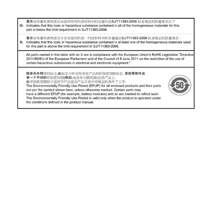表示该有毒有害物质在该部件所有均质材料中的含量均在SJ/T11363-2006标准规定的限量要求以下 O: Indicates that this toxic or hazardous substance contained in all of the homogeneous materials for this part is below the limit requirement in SJ/T11363-2006.

表示该有毒有害物质至少在该部件的某一均质材料中的含量超出SJ/T11363-2006标准规定的限量要求。 X: Indicates that this toxic or hazardous substance contained in at least one of the homogeneous materials used for this part is above the limit requirement in SJ/T11363-2006.

All parts named in this table with an X are in compliance with the European Union's RoHS Legislation "Directive 2011/65/EU of the European Parliament and of the Council of 8 June 2011 on the restriction of the use of certain hazardous substances in electrical and electronic equipment."

除非另外特别的标注,此标志为针对所涉及产品的环保使用期标志, 某些零部件会 有一个不同的环保使用期(例如,电池单元模块)贴在其产品上. 此环保使用期限只适用于产品是在产品手册中所提定的条件下工作。 The Environmentally Friendly Use Period (EFUP) for all enclosed products and their parts are per the symbol shown here, unless otherwise marked. Certain parts may have a different EFUP (for example, battery modules) and so are marked to reflect such. The Environmentally Friendly Use Period is valid only when the product is operated under the conditions defined in the product manual.